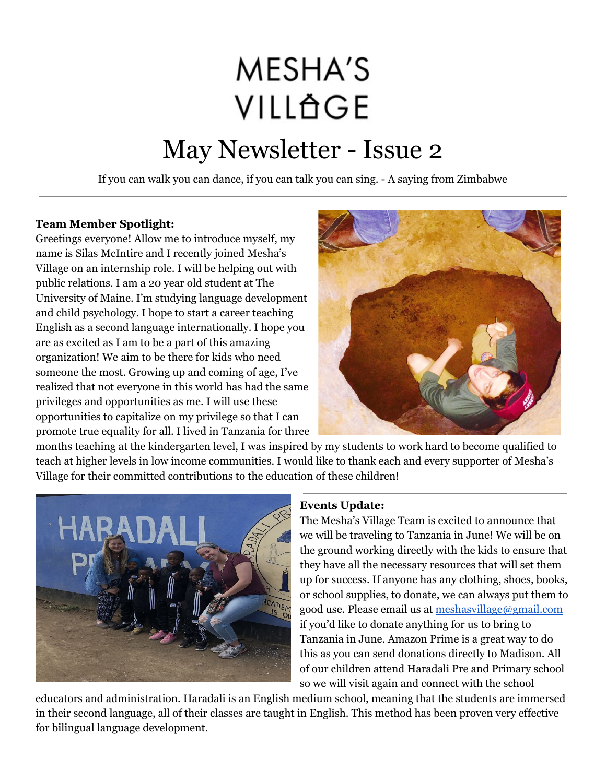## **MESHA'S** VILLÄGE

## May Newsletter - Issue 2

If you can walk you can dance, if you can talk you can sing. - A saying from Zimbabwe

## **Team Member Spotlight:**

Greetings everyone! Allow me to introduce myself, my name is Silas McIntire and I recently joined Mesha's Village on an internship role. I will be helping out with public relations. I am a 20 year old student at The University of Maine. I'm studying language development and child psychology. I hope to start a career teaching English as a second language internationally. I hope you are as excited as I am to be a part of this amazing organization! We aim to be there for kids who need someone the most. Growing up and coming of age, I've realized that not everyone in this world has had the same privileges and opportunities as me. I will use these opportunities to capitalize on my privilege so that I can promote true equality for all. I lived in Tanzania for three



months teaching at the kindergarten level, I was inspired by my students to work hard to become qualified to teach at higher levels in low income communities. I would like to thank each and every supporter of Mesha's Village for their committed contributions to the education of these children!



## **Events Update:**

The Mesha's Village Team is excited to announce that we will be traveling to Tanzania in June! We will be on the ground working directly with the kids to ensure that they have all the necessary resources that will set them up for success. If anyone has any clothing, shoes, books, or school supplies, to donate, we can always put them to good use. Please email us at [meshasvillage@gmail.com](mailto:meshasvillage@gmail.com) if you'd like to donate anything for us to bring to Tanzania in June. Amazon Prime is a great way to do this as you can send donations directly to Madison. All of our children attend Haradali Pre and Primary school so we will visit again and connect with the school

educators and administration. Haradali is an English medium school, meaning that the students are immersed in their second language, all of their classes are taught in English. This method has been proven very effective for bilingual language development.